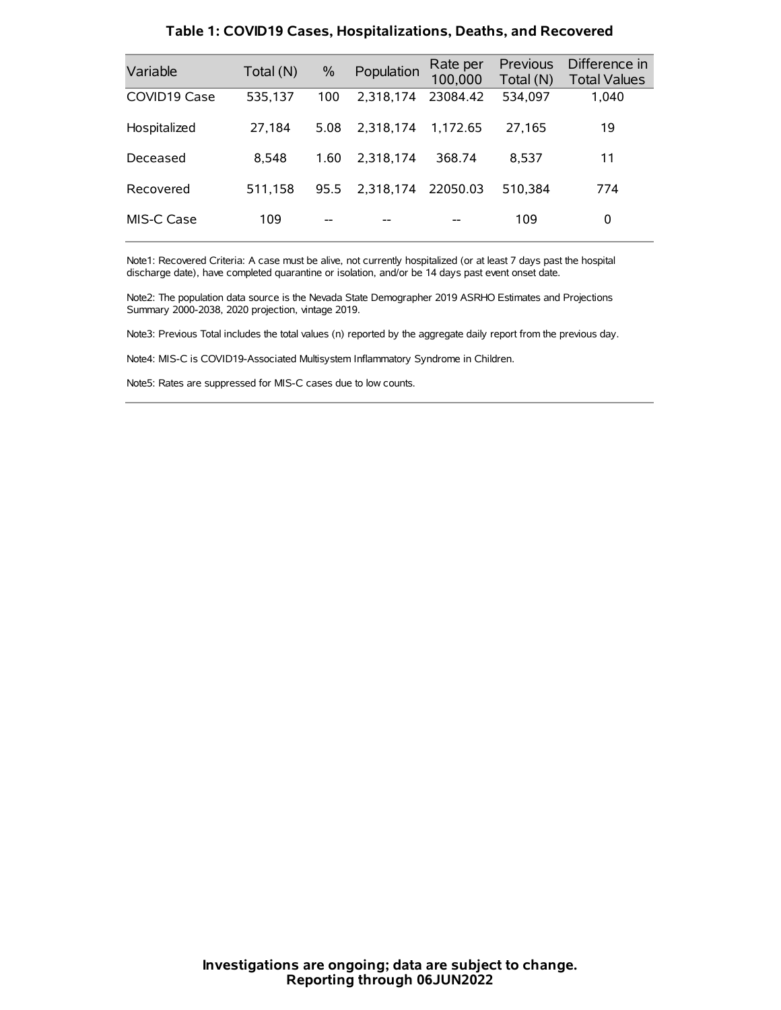| Variable     | Total (N) | $\frac{0}{0}$ | Population | Rate per<br>100,000 | Previous<br>Total (N) | Difference in<br><b>Total Values</b> |
|--------------|-----------|---------------|------------|---------------------|-----------------------|--------------------------------------|
| COVID19 Case | 535,137   | 100           | 2.318.174  | 23084.42            | 534,097               | 1,040                                |
| Hospitalized | 27,184    | 5.08          | 2.318.174  | 1.172.65            | 27.165                | 19                                   |
| Deceased     | 8.548     | 1.60          | 2.318.174  | 368.74              | 8.537                 | 11                                   |
| Recovered    | 511.158   | 95.5          | 2.318.174  | 22050.03            | 510.384               | 774                                  |
| MIS-C Case   | 109       | --            |            |                     | 109                   | 0                                    |

#### **Table 1: COVID19 Cases, Hospitalizations, Deaths, and Recovered**

Note1: Recovered Criteria: A case must be alive, not currently hospitalized (or at least 7 days past the hospital discharge date), have completed quarantine or isolation, and/or be 14 days past event onset date.

Note2: The population data source is the Nevada State Demographer 2019 ASRHO Estimates and Projections Summary 2000-2038, 2020 projection, vintage 2019.

Note3: Previous Total includes the total values (n) reported by the aggregate daily report from the previous day.

Note4: MIS-C is COVID19-Associated Multisystem Inflammatory Syndrome in Children.

Note5: Rates are suppressed for MIS-C cases due to low counts.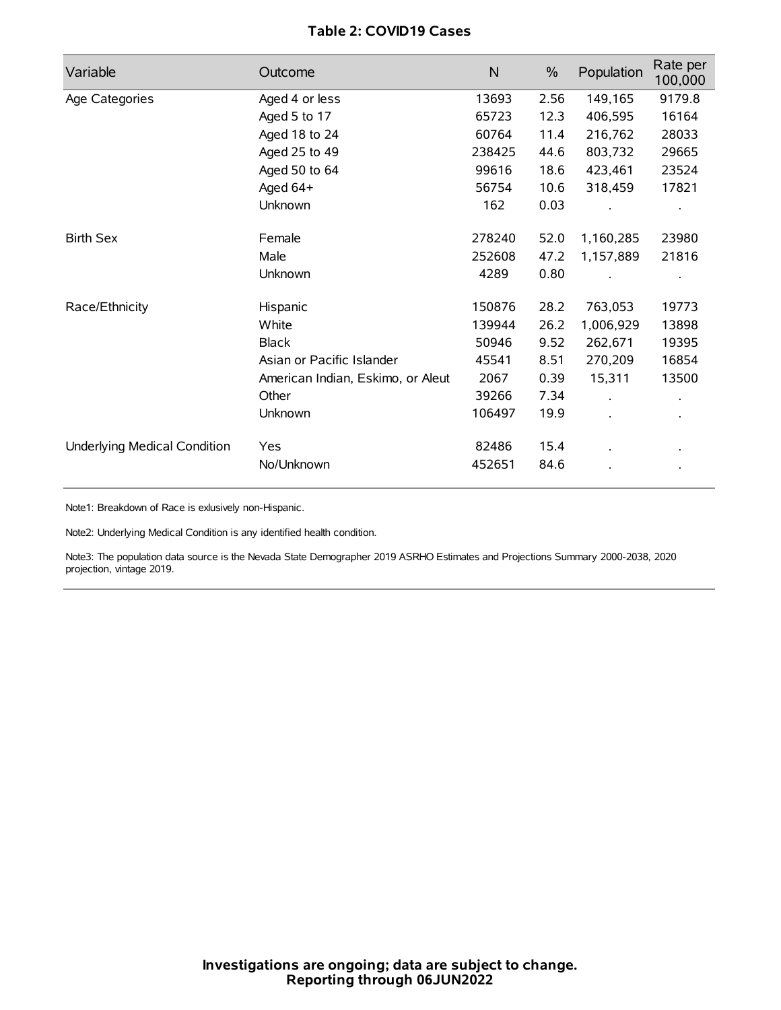# **Table 2: COVID19 Cases**

| Variable                     | Outcome                           | $\mathsf{N}$ | $\%$ | Population | Rate per<br>100,000  |
|------------------------------|-----------------------------------|--------------|------|------------|----------------------|
| Age Categories               | Aged 4 or less                    | 13693        | 2.56 | 149,165    | 9179.8               |
|                              | Aged 5 to 17                      | 65723        | 12.3 | 406,595    | 16164                |
|                              | Aged 18 to 24                     | 60764        | 11.4 | 216,762    | 28033                |
|                              | Aged 25 to 49                     | 238425       | 44.6 | 803,732    | 29665                |
|                              | Aged 50 to 64                     | 99616        | 18.6 | 423,461    | 23524                |
|                              | Aged 64+                          | 56754        | 10.6 | 318,459    | 17821                |
|                              | Unknown                           | 162          | 0.03 |            |                      |
| <b>Birth Sex</b>             | Female                            | 278240       | 52.0 | 1,160,285  | 23980                |
|                              | Male                              | 252608       | 47.2 | 1,157,889  | 21816                |
|                              | Unknown                           | 4289         | 0.80 |            |                      |
| Race/Ethnicity               | Hispanic                          | 150876       | 28.2 | 763,053    | 19773                |
|                              | White                             | 139944       | 26.2 | 1,006,929  | 13898                |
|                              | <b>Black</b>                      | 50946        | 9.52 | 262,671    | 19395                |
|                              | Asian or Pacific Islander         | 45541        | 8.51 | 270,209    | 16854                |
|                              | American Indian, Eskimo, or Aleut | 2067         | 0.39 | 15,311     | 13500                |
|                              | Other                             | 39266        | 7.34 |            | $\ddot{\phantom{0}}$ |
|                              | Unknown                           | 106497       | 19.9 |            |                      |
| Underlying Medical Condition | Yes                               | 82486        | 15.4 |            |                      |
|                              | No/Unknown                        | 452651       | 84.6 |            |                      |

Note1: Breakdown of Race is exlusively non-Hispanic.

Note2: Underlying Medical Condition is any identified health condition.

Note3: The population data source is the Nevada State Demographer 2019 ASRHO Estimates and Projections Summary 2000-2038, 2020 projection, vintage 2019.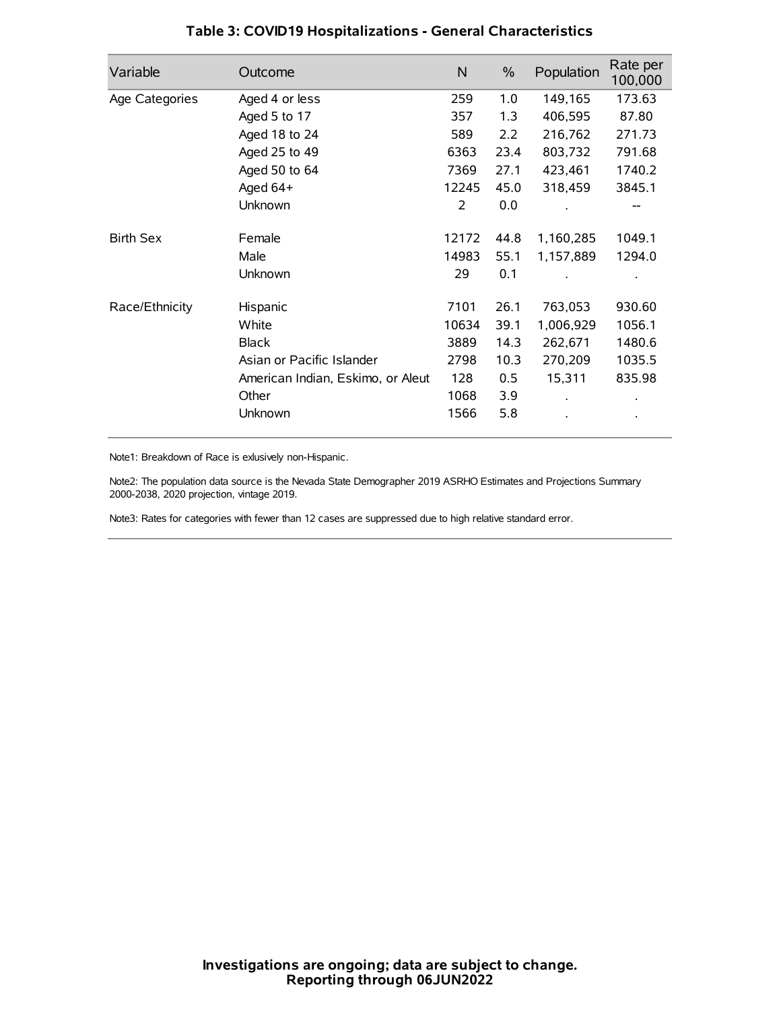| Variable         | Outcome                           | $\mathsf{N}$ | $\%$ | Population | Rate per<br>100,000 |
|------------------|-----------------------------------|--------------|------|------------|---------------------|
| Age Categories   | Aged 4 or less                    | 259          | 1.0  | 149,165    | 173.63              |
|                  | Aged 5 to 17                      | 357          | 1.3  | 406,595    | 87.80               |
|                  | Aged 18 to 24                     | 589          | 2.2  | 216,762    | 271.73              |
|                  | Aged 25 to 49                     | 6363         | 23.4 | 803,732    | 791.68              |
|                  | Aged 50 to 64                     | 7369         | 27.1 | 423,461    | 1740.2              |
|                  | Aged 64+                          | 12245        | 45.0 | 318,459    | 3845.1              |
|                  | Unknown                           | 2            | 0.0  |            |                     |
| <b>Birth Sex</b> | Female                            | 12172        | 44.8 | 1,160,285  | 1049.1              |
|                  | Male                              | 14983        | 55.1 | 1,157,889  | 1294.0              |
|                  | Unknown                           | 29           | 0.1  |            |                     |
| Race/Ethnicity   | Hispanic                          | 7101         | 26.1 | 763,053    | 930.60              |
|                  | White                             | 10634        | 39.1 | 1,006,929  | 1056.1              |
|                  | <b>Black</b>                      | 3889         | 14.3 | 262,671    | 1480.6              |
|                  | Asian or Pacific Islander         | 2798         | 10.3 | 270,209    | 1035.5              |
|                  | American Indian, Eskimo, or Aleut | 128          | 0.5  | 15,311     | 835.98              |
|                  | Other                             | 1068         | 3.9  |            |                     |
|                  | Unknown                           | 1566         | 5.8  |            |                     |

# **Table 3: COVID19 Hospitalizations - General Characteristics**

Note1: Breakdown of Race is exlusively non-Hispanic.

Note2: The population data source is the Nevada State Demographer 2019 ASRHO Estimates and Projections Summary 2000-2038, 2020 projection, vintage 2019.

Note3: Rates for categories with fewer than 12 cases are suppressed due to high relative standard error.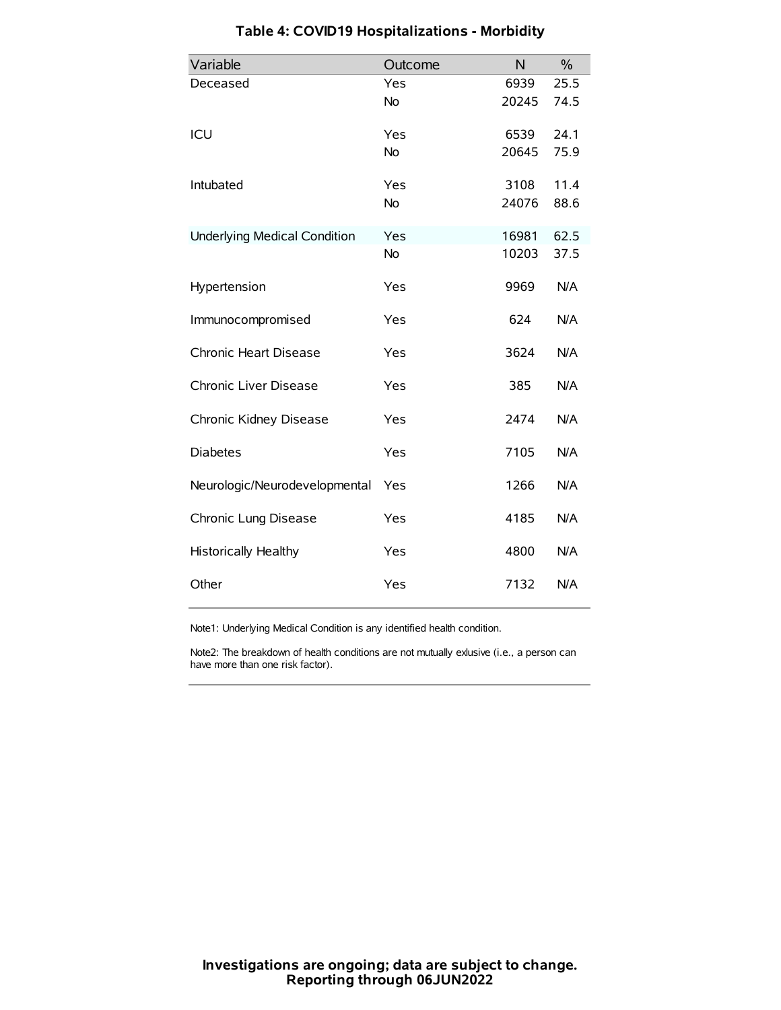| Variable                            | Outcome   | N     | $\%$ |
|-------------------------------------|-----------|-------|------|
| Deceased                            | Yes       | 6939  | 25.5 |
|                                     | No        | 20245 | 74.5 |
| ICU                                 | Yes       | 6539  | 24.1 |
|                                     | <b>No</b> | 20645 | 75.9 |
| Intubated                           | Yes       | 3108  | 11.4 |
|                                     | No        | 24076 | 88.6 |
| <b>Underlying Medical Condition</b> | Yes       | 16981 | 62.5 |
|                                     | <b>No</b> | 10203 | 37.5 |
| Hypertension                        | Yes       | 9969  | N/A  |
| Immunocompromised                   | Yes       | 624   | N/A  |
| Chronic Heart Disease               | Yes       | 3624  | N/A  |
| Chronic Liver Disease               | Yes       | 385   | N/A  |
| Chronic Kidney Disease              | Yes       | 2474  | N/A  |
| <b>Diabetes</b>                     | Yes       | 7105  | N/A  |
| Neurologic/Neurodevelopmental       | Yes       | 1266  | N/A  |
| Chronic Lung Disease                | Yes       | 4185  | N/A  |
| Historically Healthy                | Yes       | 4800  | N/A  |
| Other                               | Yes       | 7132  | N/A  |

# **Table 4: COVID19 Hospitalizations - Morbidity**

Note1: Underlying Medical Condition is any identified health condition.

Note2: The breakdown of health conditions are not mutually exlusive (i.e., a person can have more than one risk factor).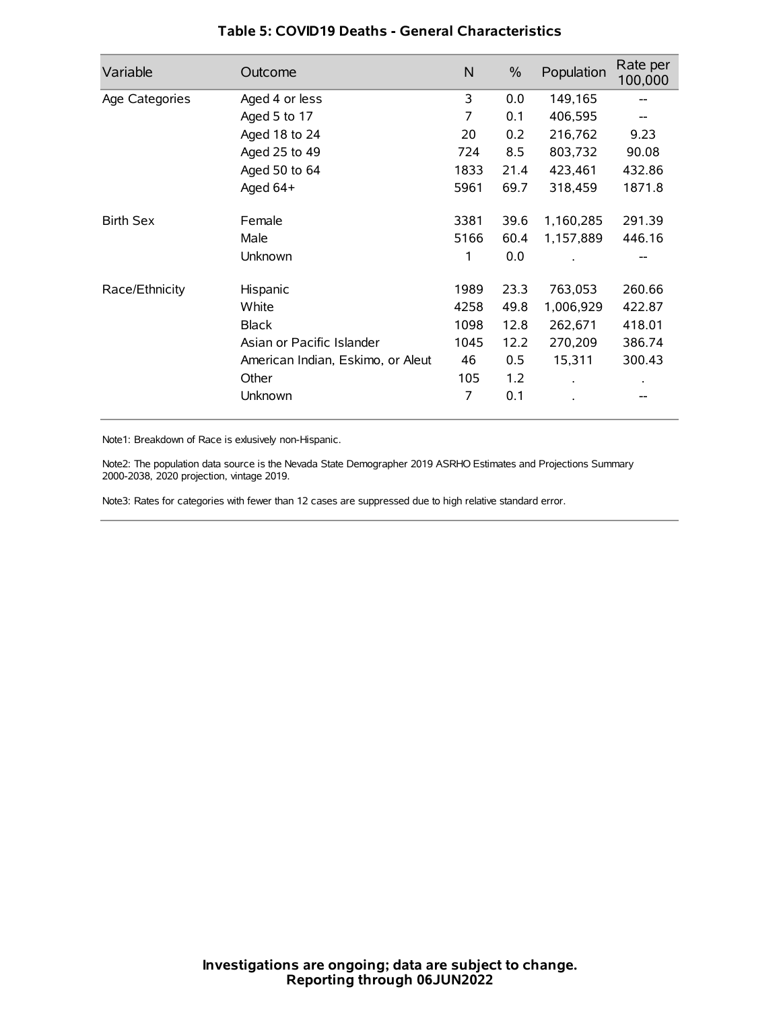| Variable         | Outcome                           | N    | $\frac{0}{0}$ | Population | Rate per<br>100,000 |
|------------------|-----------------------------------|------|---------------|------------|---------------------|
| Age Categories   | Aged 4 or less                    | 3    | 0.0           | 149,165    |                     |
|                  | Aged 5 to 17                      | 7    | 0.1           | 406,595    |                     |
|                  | Aged 18 to 24                     | 20   | 0.2           | 216,762    | 9.23                |
|                  | Aged 25 to 49                     | 724  | 8.5           | 803,732    | 90.08               |
|                  | Aged 50 to 64                     | 1833 | 21.4          | 423,461    | 432.86              |
|                  | Aged $64+$                        | 5961 | 69.7          | 318,459    | 1871.8              |
| <b>Birth Sex</b> | Female                            | 3381 | 39.6          | 1,160,285  | 291.39              |
|                  | Male                              | 5166 | 60.4          | 1,157,889  | 446.16              |
|                  | Unknown                           | 1    | 0.0           |            | --                  |
| Race/Ethnicity   | Hispanic                          | 1989 | 23.3          | 763,053    | 260.66              |
|                  | White                             | 4258 | 49.8          | 1,006,929  | 422.87              |
|                  | <b>Black</b>                      | 1098 | 12.8          | 262,671    | 418.01              |
|                  | Asian or Pacific Islander         | 1045 | 12.2          | 270,209    | 386.74              |
|                  | American Indian, Eskimo, or Aleut | 46   | 0.5           | 15,311     | 300.43              |
|                  | Other                             | 105  | 1.2           |            |                     |
|                  | Unknown                           | 7    | 0.1           |            |                     |

### **Table 5: COVID19 Deaths - General Characteristics**

Note1: Breakdown of Race is exlusively non-Hispanic.

Note2: The population data source is the Nevada State Demographer 2019 ASRHO Estimates and Projections Summary 2000-2038, 2020 projection, vintage 2019.

Note3: Rates for categories with fewer than 12 cases are suppressed due to high relative standard error.